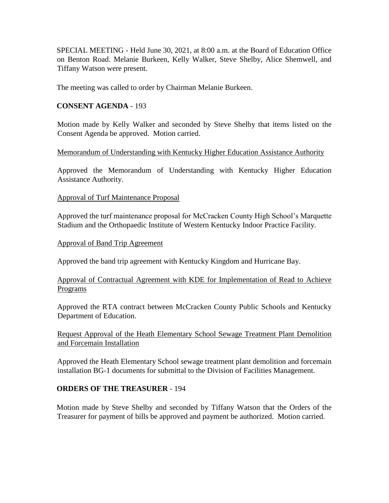SPECIAL MEETING - Held June 30, 2021, at 8:00 a.m. at the Board of Education Office on Benton Road. Melanie Burkeen, Kelly Walker, Steve Shelby, Alice Shemwell, and Tiffany Watson were present.

The meeting was called to order by Chairman Melanie Burkeen.

# **CONSENT AGENDA** - 193

Motion made by Kelly Walker and seconded by Steve Shelby that items listed on the Consent Agenda be approved. Motion carried.

### Memorandum of Understanding with Kentucky Higher Education Assistance Authority

Approved the Memorandum of Understanding with Kentucky Higher Education Assistance Authority.

# Approval of Turf Maintenance Proposal

Approved the turf maintenance proposal for McCracken County High School's Marquette Stadium and the Orthopaedic Institute of Western Kentucky Indoor Practice Facility.

### Approval of Band Trip Agreement

Approved the band trip agreement with Kentucky Kingdom and Hurricane Bay.

# Approval of Contractual Agreement with KDE for Implementation of Read to Achieve Programs

Approved the RTA contract between McCracken County Public Schools and Kentucky Department of Education.

Request Approval of the Heath Elementary School Sewage Treatment Plant Demolition and Forcemain Installation

Approved the Heath Elementary School sewage treatment plant demolition and forcemain installation BG-1 documents for submittal to the Division of Facilities Management.

# **ORDERS OF THE TREASURER** - 194

Motion made by Steve Shelby and seconded by Tiffany Watson that the Orders of the Treasurer for payment of bills be approved and payment be authorized. Motion carried.